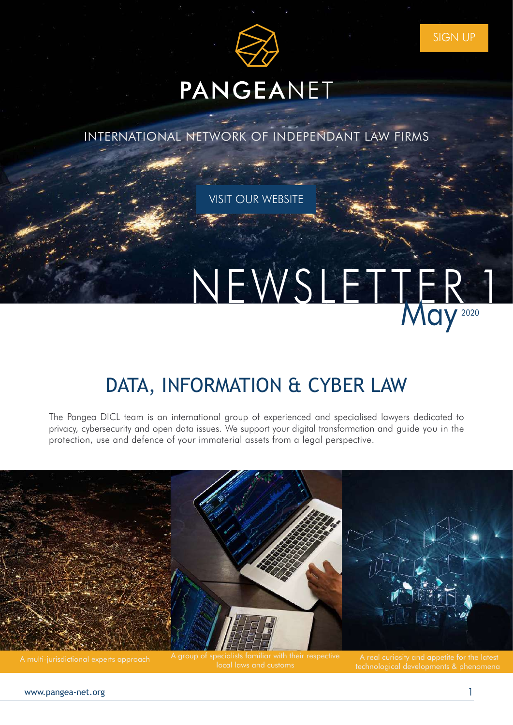

# PANGEANET

INTERNATIONAL NETWORK OF INDEPENDANT LAW FIRMS

**VISIT OUR WEBSITE** 

# NEWSLETTER

## [DATA, INFORMATION & CYBER LAW](https://www.pangea-net.org/practice-groups/)

The Pangea DICL team is an international group of experienced and specialised lawyers dedicated to privacy, cybersecurity and open data issues. We support your digital transformation and guide you in the protection, use and defence of your immaterial assets from a legal perspective.

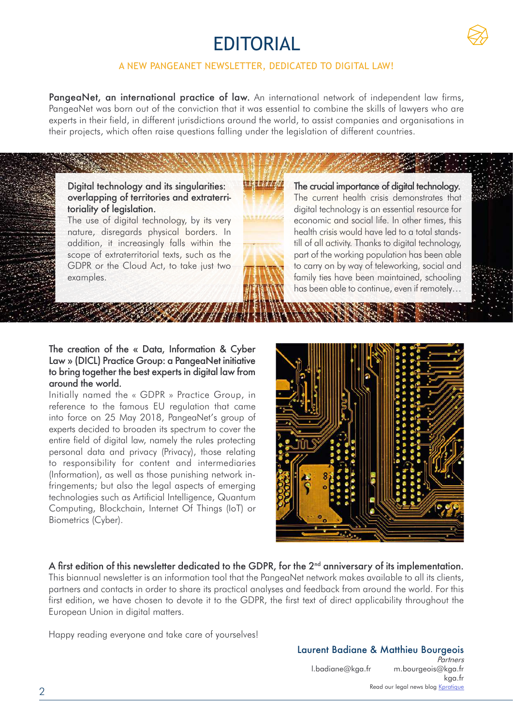## EDITORIAL



#### A NEW PANGEANET NEWSLETTER, DEDICATED TO DIGITAL LAW!

PangeaNet, an international practice of law. An international network of independent law firms, PangeaNet was born out of the conviction that it was essential to combine the skills of lawyers who are experts in their field, in different jurisdictions around the world, to assist companies and organisations in their projects, which often raise questions falling under the legislation of different countries.

Digital technology and its singularities: overlapping of territories and extraterritoriality of legislation.

The use of digital technology, by its very nature, disregards physical borders. In addition, it increasingly falls within the scope of extraterritorial texts, such as the GDPR or the Cloud Act, to take just two examples.



The crucial importance of digital technology. The current health crisis demonstrates that digital technology is an essential resource for economic and social life. In other times, this health crisis would have led to a total standstill of all activity. Thanks to digital technology, part of the working population has been able to carry on by way of teleworking, social and family ties have been maintained, schooling has been able to continue, even if remotely…

#### The creation of the « Data, Information & Cyber Law » (DICL) Practice Group: a PangeaNet initiative to bring together the best experts in digital law from around the world.

Initially named the « GDPR » Practice Group, in reference to the famous EU regulation that came into force on 25 May 2018, PangeaNet's group of experts decided to broaden its spectrum to cover the entire field of digital law, namely the rules protecting personal data and privacy (Privacy), those relating to responsibility for content and intermediaries (Information), as well as those punishing network infringements; but also the legal aspects of emerging technologies such as Artificial Intelligence, Quantum Computing, Blockchain, Internet Of Things (IoT) or Biometrics (Cyber).



#### A first edition of this newsletter dedicated to the GDPR, for the 2<sup>nd</sup> anniversary of its implementation.

This biannual newsletter is an information tool that the PangeaNet network makes available to all its clients, partners and contacts in order to share its practical analyses and feedback from around the world. For this first edition, we have chosen to devote it to the GDPR, the first text of direct applicability throughout the European Union in digital matters.

Happy reading everyone and take care of yourselves!

#### Laurent Badiane & Matthieu Bourgeois **Partners**

[l.badiane@kga.fr](mailto:l.badiane%40kga.fr?subject=) [m.bourgeois@kga.fr](mailto:m.bourgeois%40kga.fr?subject=) [kga.fr](mailto:www.kga.fr%0D?subject=) Read our legal news blog **Kpratique**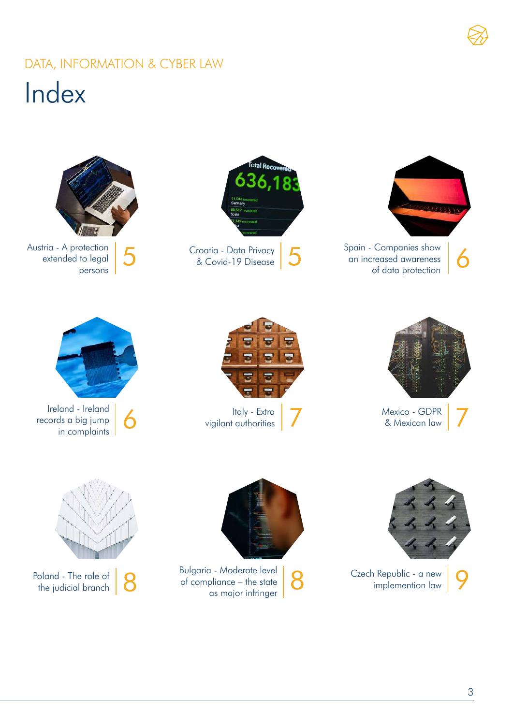## Index DATA, INFORMATION & CYBER LAW





Mexico - GDPR & Mexican law 7







Ireland - Ireland records a big jump land - Ireland<br>ds a big jump<br>in complaints **6 Italy - Extra** vigilant authorities **7** 





Bulgaria - Moderate level of compliance – the state a - Moderate level<br>
pliance – the state **8 Czech Republic - a new as major infringer 8** Czech Republic - a new **9** 



Poland - The role of  $\bigotimes$ 

3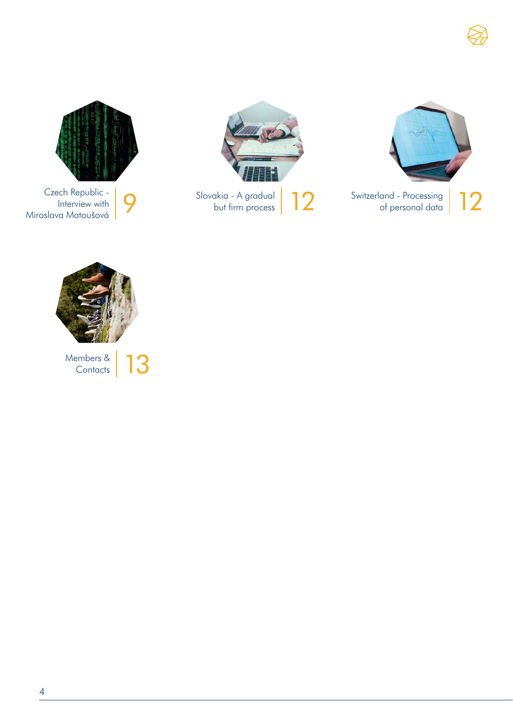







Interview with Miroslava Matoušová 9



Members & **13** 

4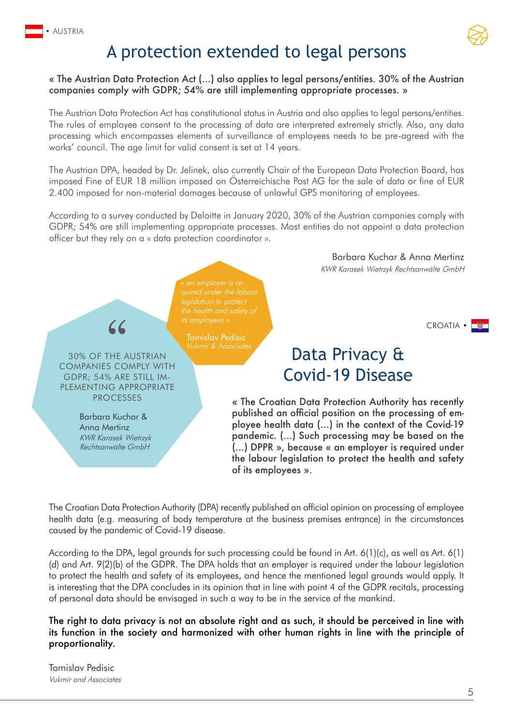

## A protection extended to legal persons

#### « The Austrian Data Protection Act (...) also applies to legal persons/entities. 30% of the Austrian companies comply with GDPR; 54% are still implementing appropriate processes. »

The Austrian Data Protection Act has constitutional status in Austria and also applies to legal persons/entities. The rules of employee consent to the processing of data are interpreted extremely strictly. Also, any data processing which encompasses elements of surveillance of employees needs to be pre-agreed with the works' council. The age limit for valid consent is set at 14 years.

The Austrian DPA, headed by Dr. Jelinek, also currently Chair of the European Data Protection Board, has imposed Fine of EUR 18 million imposed on Österreichische Post AG for the sale of data or fine of EUR 2.400 imposed for non-material damages because of unlawful GPS monitoring of employees.

According to a survey conducted by Deloitte in January 2020, 30% of the Austrian companies comply with GDPR; 54% are still implementing appropriate processes. Most entities do not appoint a data protection officer but they rely on a « data protection coordinator ».

legislation to protect

Tomislav Pedisic Vukmir & Associates

30% OF THE AUSTRIAN COMPANIES COMPLY WITH GDPR; 54% ARE STILL IM-PLEMENTING APPROPRIATE **PROCESSES** 

 $\overline{\mathcal{L}}$ 

Barbara Kuchar & Anna Mertinz KWR Karasek Wietrzyk Rechtsanwälte GmbH

Barbara Kuchar & Anna Mertinz [KWR Karasek Wietrzyk Rechtsanwälte GmbH](https://www.pangea-net.org/team/kwr-karasek-wietrzyk-rechtsanwalte-gmbh/)

**CROATIA •** 

## Data Privacy & Covid-19 Disease

« The Croatian Data Protection Authority has recently published an official position on the processing of employee health data (...) in the context of the Covid-19 pandemic. (...) Such processing may be based on the (...) DPPR », because « an employer is required under the labour legislation to protect the health and safety of its employees ».

The Croatian Data Protection Authority (DPA) recently published an official opinion on processing of employee health data (e.g. measuring of body temperature at the business premises entrance) in the circumstances caused by the pandemic of Covid-19 disease.

According to the DPA, legal grounds for such processing could be found in Art. 6(1)(c), as well as Art. 6(1) (d) and Art. 9(2)(b) of the GDPR. The DPA holds that an employer is required under the labour legislation to protect the health and safety of its employees, and hence the mentioned legal grounds would apply. It is interesting that the DPA concludes in its opinion that in line with point 4 of the GDPR recitals, processing of personal data should be envisaged in such a way to be in the service of the mankind.

The right to data privacy is not an absolute right and as such, it should be perceived in line with its function in the society and harmonized with other human rights in line with the principle of proportionality.

Tomislav Pedisic [Vukmir and Associates](https://www.pangea-net.org/team/vukmir-associates/)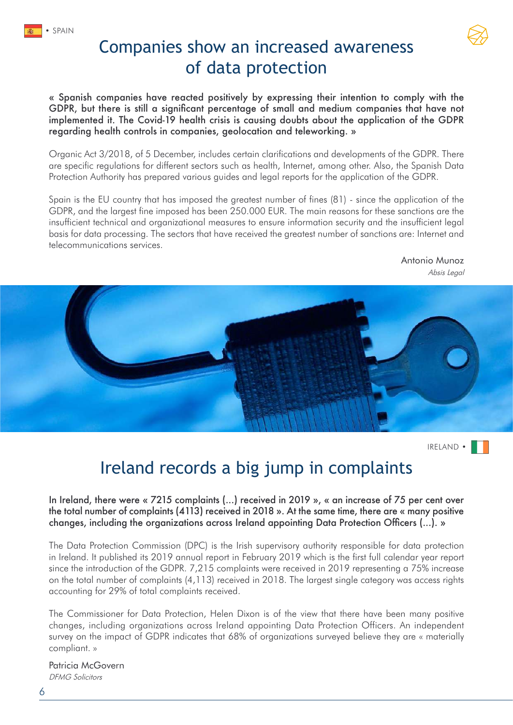

« Spanish companies have reacted positively by expressing their intention to comply with the GDPR, but there is still a significant percentage of small and medium companies that have not implemented it. The Covid-19 health crisis is causing doubts about the application of the GDPR regarding health controls in companies, geolocation and teleworking. »

Organic Act 3/2018, of 5 December, includes certain clarifications and developments of the GDPR. There are specific regulations for different sectors such as health, Internet, among other. Also, the Spanish Data Protection Authority has prepared various guides and legal reports for the application of the GDPR.

Spain is the EU country that has imposed the greatest number of fines (81) - since the application of the GDPR, and the largest fine imposed has been 250.000 EUR. The main reasons for these sanctions are the insufficient technical and organizational measures to ensure information security and the insufficient legal basis for data processing. The sectors that have received the greatest number of sanctions are: Internet and telecommunications services.

> Antonio Munoz [Absis Legal](https://www.pangea-net.org/team/absis/)



IRELAND •

## Ireland records a big jump in complaints

#### In Ireland, there were « 7215 complaints (...) received in 2019 », « an increase of 75 per cent over the total number of complaints (4113) received in 2018 ». At the same time, there are « many positive changes, including the organizations across Ireland appointing Data Protection Officers (...). »

The Data Protection Commission (DPC) is the Irish supervisory authority responsible for data protection in Ireland. It published its 2019 annual report in February 2019 which is the first full calendar year report since the introduction of the GDPR. 7,215 complaints were received in 2019 representing a 75% increase on the total number of complaints (4,113) received in 2018. The largest single category was access rights accounting for 29% of total complaints received.

The Commissioner for Data Protection, Helen Dixon is of the view that there have been many positive changes, including organizations across Ireland appointing Data Protection Officers. An independent survey on the impact of GDPR indicates that 68% of organizations surveyed believe they are « materially compliant. »

Patricia McGovern [DFMG Solicitors](https://www.pangea-net.org/team/dfmg-solicitors/)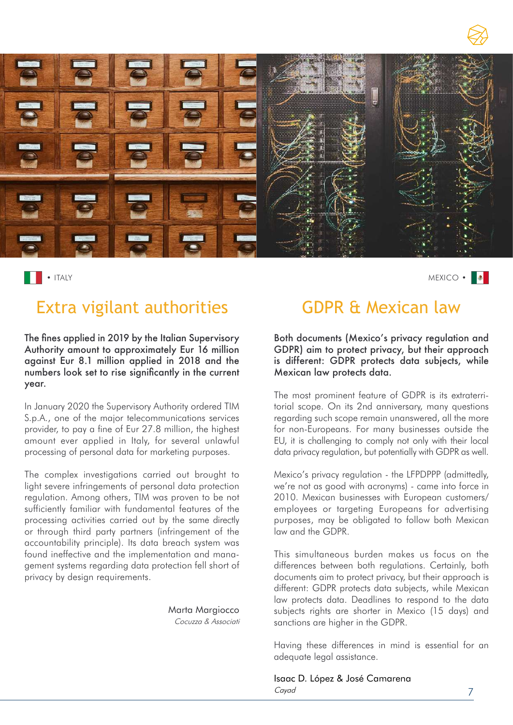

• ITALY MEXICO • NEWSPACE SERVICES AND THE SERVICES OF SERVICES AND MEXICO • MEXICO • MEXICO •  $\sim$ 

## Extra vigilant authorities GDPR & Mexican law

The fines applied in 2019 by the Italian Supervisory Authority amount to approximately Eur 16 million against Eur 8.1 million applied in 2018 and the numbers look set to rise significantly in the current year.

In January 2020 the Supervisory Authority ordered TIM S.p.A., one of the major telecommunications services provider, to pay a fine of Eur 27.8 million, the highest amount ever applied in Italy, for several unlawful processing of personal data for marketing purposes.

The complex investigations carried out brought to light severe infringements of personal data protection regulation. Among others, TIM was proven to be not sufficiently familiar with fundamental features of the processing activities carried out by the same directly or through third party partners (infringement of the accountability principle). Its data breach system was found ineffective and the implementation and management systems regarding data protection fell short of privacy by design requirements.

Marta Margiocco

[Cocuzza & Associati](https://www.pangea-net.org/team/cocuzza-associati/)

Both documents (Mexico's privacy regulation and GDPR) aim to protect privacy, but their approach is different: GDPR protects data subjects, while Mexican law protects data.

The most prominent feature of GDPR is its extraterritorial scope. On its 2nd anniversary, many questions regarding such scope remain unanswered, all the more for non-Europeans. For many businesses outside the EU, it is challenging to comply not only with their local data privacy regulation, but potentially with GDPR as well.

Mexico's privacy regulation - the LFPDPPP (admittedly, we're not as good with acronyms) - came into force in 2010. Mexican businesses with European customers/ employees or targeting Europeans for advertising purposes, may be obligated to follow both Mexican law and the GDPR.

This simultaneous burden makes us focus on the differences between both regulations. Certainly, both documents aim to protect privacy, but their approach is different: GDPR protects data subjects, while Mexican law protects data. Deadlines to respond to the data subjects rights are shorter in Mexico (15 days) and sanctions are higher in the GDPR.

Having these differences in mind is essential for an adequate legal assistance.

Isaac D. López & José Camarena [Cayad](https://www.pangea-net.org/team/cayad/)

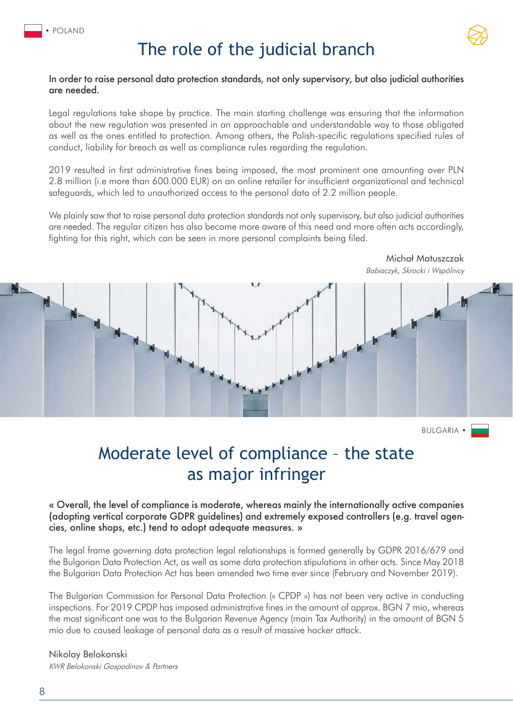

## The role of the judicial branch

#### In order to raise personal data protection standards, not only supervisory, but also judicial authorities are needed.

Legal regulations take shape by practice. The main starting challenge was ensuring that the information about the new regulation was presented in an approachable and understandable way to those obligated as well as the ones entitled to protection. Among others, the Polish-specific regulations specified rules of conduct, liability for breach as well as compliance rules regarding the regulation.

2019 resulted in first administrative fines being imposed, the most prominent one amounting over PLN 2.8 million (i.e more than 600.000 EUR) on an online retailer for insufficient organizational and technical safeguards, which led to unauthorized access to the personal data of 2.2 million people.

We plainly saw that to raise personal data protection standards not only supervisory, but also judicial authorities are needed. The regular citizen has also become more aware of this need and more often acts accordingly, fighting for this right, which can be seen in more personal complaints being filed.



BULGARIA •

Michał Matuszczak

## Moderate level of compliance – the state as major infringer

#### « Overall, the level of compliance is moderate, whereas mainly the internationally active companies (adopting vertical corporate GDPR guidelines) and extremely exposed controllers (e.g. travel agencies, online shops, etc.) tend to adopt adequate measures. »

The legal frame governing data protection legal relationships is formed generally by GDPR 2016/679 and the Bulgarian Data Protection Act, as well as some data protection stipulations in other acts. Since May 2018 the Bulgarian Data Protection Act has been amended two time ever since (February and November 2019).

The Bulgarian Commission for Personal Data Protection (« CPDP ») has not been very active in conducting inspections. For 2019 CPDP has imposed administrative fines in the amount of approx. BGN 7 mio, whereas the most significant one was to the Bulgarian Revenue Agency (main Tax Authority) in the amount of BGN 5 mio due to caused leakage of personal data as a result of massive hacker attack.

#### Nikolay Belokonski [KWR Belokonski Gospodinov & Partners](https://www.pangea-net.org/team/kwr-belokonski-gospodinov/)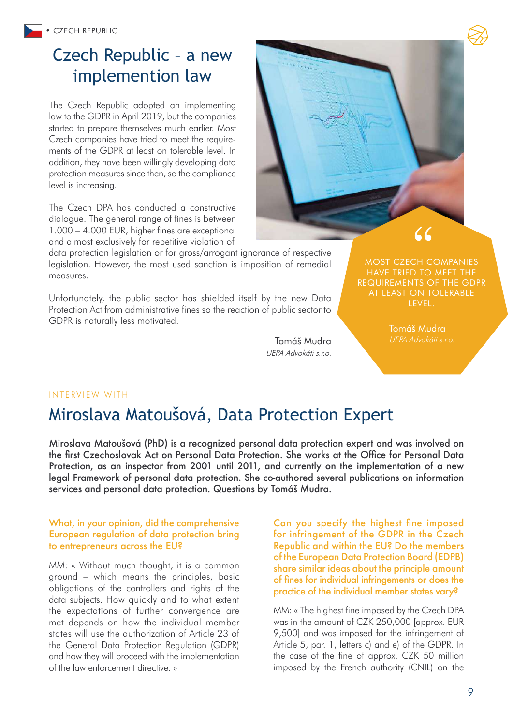## Czech Republic – a new implemention law

The Czech Republic adopted an implementing law to the GDPR in April 2019, but the companies started to prepare themselves much earlier. Most Czech companies have tried to meet the requirements of the GDPR at least on tolerable level. In addition, they have been willingly developing data protection measures since then, so the compliance level is increasing.

The Czech DPA has conducted a constructive dialogue. The general range of fines is between 1.000 – 4.000 EUR, higher fines are exceptional and almost exclusively for repetitive violation of

data protection legislation or for gross/arrogant ignorance of respective legislation. However, the most used sanction is imposition of remedial measures.

Unfortunately, the public sector has shielded itself by the new Data Protection Act from administrative fines so the reaction of public sector to GDPR is naturally less motivated.

[UEPA Advokáti s.r.o.](https://www.pangea-net.org/team/uepa-praha/)



 $66$ 

Tomáš Mudra Tomáš Mudra UEPA Advokáti s.r.o.

#### INTERVIEW WITH

## Miroslava Matoušová, Data Protection Expert

Miroslava Matoušová (PhD) is a recognized personal data protection expert and was involved on the first Czechoslovak Act on Personal Data Protection. She works at the Office for Personal Data Protection, as an inspector from 2001 until 2011, and currently on the implementation of a new legal Framework of personal data protection. She co-authored several publications on information services and personal data protection. Questions by Tomáš Mudra.

#### What, in your opinion, did the comprehensive European regulation of data protection bring to entrepreneurs across the EU?

MM: « Without much thought, it is a common ground – which means the principles, basic obligations of the controllers and rights of the data subjects. How quickly and to what extent the expectations of further convergence are met depends on how the individual member states will use the authorization of Article 23 of the General Data Protection Regulation (GDPR) and how they will proceed with the implementation of the law enforcement directive. »

Can you specify the highest fine imposed for infringement of the GDPR in the Czech Republic and within the EU? Do the members of the European Data Protection Board (EDPB) share similar ideas about the principle amount of fines for individual infringements or does the practice of the individual member states vary?

MM: « The highest fine imposed by the Czech DPA was in the amount of CZK 250,000 [approx. EUR 9,500] and was imposed for the infringement of Article 5, par. 1, letters c) and e) of the GDPR. In the case of the fine of approx. CZK 50 million imposed by the French authority (CNIL) on the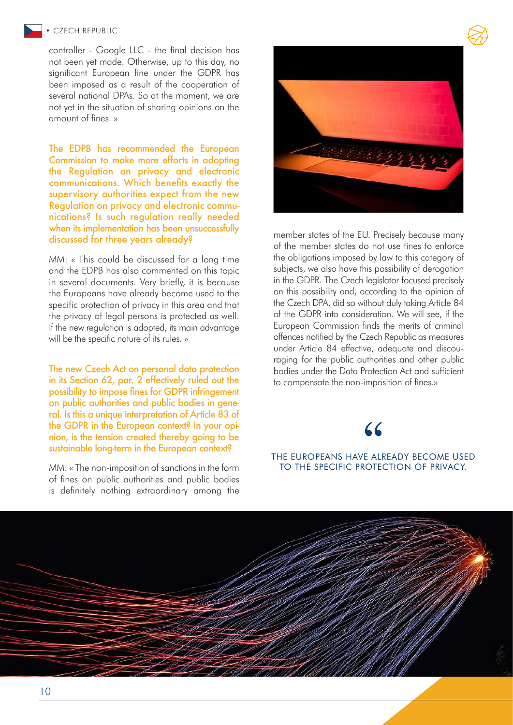#### • CZECH REPUBLIC

controller - Google LLC - the final decision has not been yet made. Otherwise, up to this day, no significant European fine under the GDPR has been imposed as a result of the cooperation of several national DPAs. So at the moment, we are not yet in the situation of sharing opinions on the amount of fines. »

The EDPB has recommended the European Commission to make more efforts in adopting the Regulation on privacy and electronic communications. Which benefits exactly the supervisory authorities expect from the new Regulation on privacy and electronic communications? Is such regulation really needed when its implementation has been unsuccessfully discussed for three years already?

MM: « This could be discussed for a long time and the EDPB has also commented on this topic in several documents. Very briefly, it is because the Europeans have already become used to the specific protection of privacy in this area and that the privacy of legal persons is protected as well. If the new regulation is adopted, its main advantage will be the specific nature of its rules. »

The new Czech Act on personal data protection in its Section 62, par. 2 effectively ruled out the possibility to impose fines for GDPR infringement on public authorities and public bodies in general. Is this a unique interpretation of Article 83 of the GDPR in the European context? In your opinion, is the tension created thereby going to be sustainable long-term in the European context?

MM: « The non-imposition of sanctions in the form of fines on public authorities and public bodies is definitely nothing extraordinary among the



member states of the EU. Precisely because many of the member states do not use fines to enforce the obligations imposed by law to this category of subjects, we also have this possibility of derogation in the GDPR. The Czech legislator focused precisely on this possibility and, according to the opinion of the Czech DPA, did so without duly taking Article 84 of the GDPR into consideration. We will see, if the European Commission finds the merits of criminal offences notified by the Czech Republic as measures under Article 84 effective, adequate and discouraging for the public authorities and other public bodies under the Data Protection Act and sufficient to compensate the non-imposition of fines.»

## THE EUROPEANS HAVE ALREADY BECOME USED TO THE SPECIFIC PROTECTION OF PRIVACY. **66**<br>E ali<br>Rote

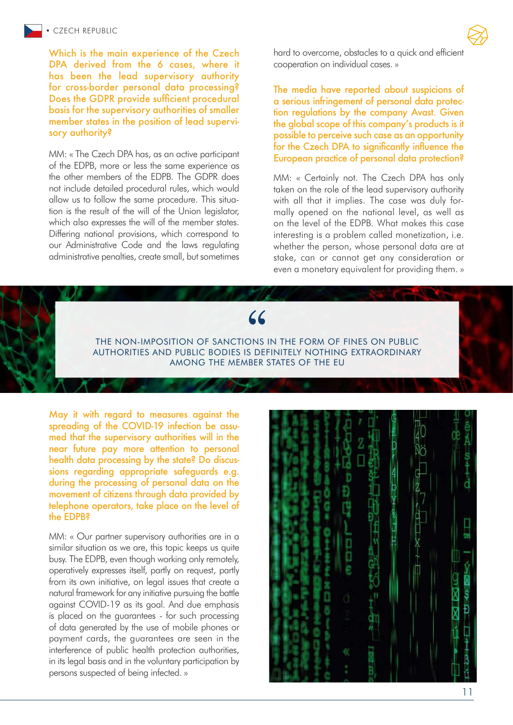Which is the main experience of the Czech DPA derived from the 6 cases, where it has been the lead supervisory authority for cross-border personal data processing? Does the GDPR provide sufficient procedural basis for the supervisory authorities of smaller member states in the position of lead supervisory authority?

MM: « The Czech DPA has, as an active participant of the EDPB, more or less the same experience as the other members of the EDPB. The GDPR does not include detailed procedural rules, which would allow us to follow the same procedure. This situation is the result of the will of the Union legislator, which also expresses the will of the member states. Differing national provisions, which correspond to our Administrative Code and the laws regulating administrative penalties, create small, but sometimes

hard to overcome, obstacles to a quick and efficient cooperation on individual cases. »

The media have reported about suspicions of a serious infringement of personal data protection regulations by the company Avast. Given the global scope of this company's products is it possible to perceive such case as an opportunity for the Czech DPA to significantly influence the European practice of personal data protection?

MM: « Certainly not. The Czech DPA has only taken on the role of the lead supervisory authority with all that it implies. The case was duly formally opened on the national level, as well as on the level of the EDPB. What makes this case interesting is a problem called monetization, i.e. whether the person, whose personal data are at stake, can or cannot get any consideration or even a monetary equivalent for providing them. »



May it with regard to measures against the spreading of the COVID-19 infection be assumed that the supervisory authorities will in the near future pay more attention to personal health data processing by the state? Do discussions regarding appropriate safeguards e.g. during the processing of personal data on the movement of citizens through data provided by telephone operators, take place on the level of the EDPB?

MM: « Our partner supervisory authorities are in a similar situation as we are, this topic keeps us quite busy. The EDPB, even though working only remotely, operatively expresses itself, partly on request, partly from its own initiative, on legal issues that create a natural framework for any initiative pursuing the battle against COVID-19 as its goal. And due emphasis is placed on the guarantees - for such processing of data generated by the use of mobile phones or payment cards, the guarantees are seen in the interference of public health protection authorities, in its legal basis and in the voluntary participation by persons suspected of being infected. »



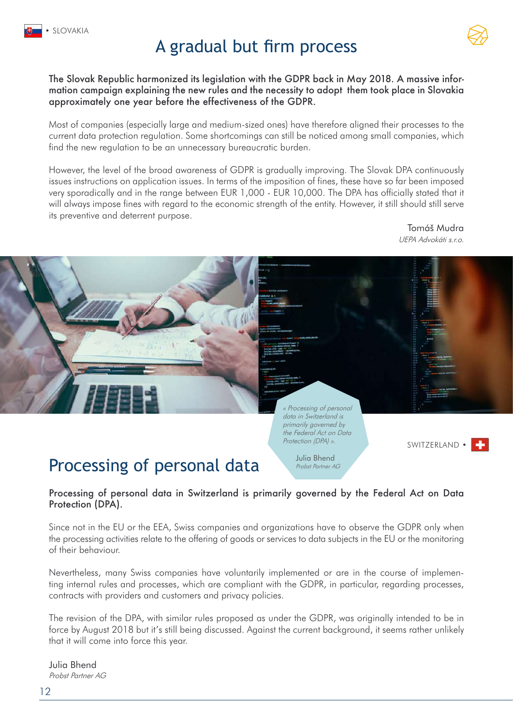## A gradual but firm process

The Slovak Republic harmonized its legislation with the GDPR back in May 2018. A massive information campaign explaining the new rules and the necessity to adopt them took place in Slovakia approximately one year before the effectiveness of the GDPR.

Most of companies (especially large and medium-sized ones) have therefore aligned their processes to the current data protection regulation. Some shortcomings can still be noticed among small companies, which find the new regulation to be an unnecessary bureaucratic burden.

However, the level of the broad awareness of GDPR is gradually improving. The Slovak DPA continuously issues instructions on application issues. In terms of the imposition of fines, these have so far been imposed very sporadically and in the range between EUR 1,000 - EUR 10,000. The DPA has officially stated that it will always impose fines with regard to the economic strength of the entity. However, it still should still serve its preventive and deterrent purpose.

> Tomáš Mudra [UEPA Advokáti s.r.o.](https://www.pangea-net.org/team/uepa-bratislava/)

> > SWITZERLAND •



data in Switzerland is primarily governed by the Federal Act on Data Protection (DPA) ».

« Processing of personal

Julia Bhend Probst Partner AG

Processing of personal data in Switzerland is primarily governed by the Federal Act on Data Protection (DPA).

Since not in the EU or the EEA, Swiss companies and organizations have to observe the GDPR only when the processing activities relate to the offering of goods or services to data subjects in the EU or the monitoring of their behaviour.

Nevertheless, many Swiss companies have voluntarily implemented or are in the course of implementing internal rules and processes, which are compliant with the GDPR, in particular, regarding processes, contracts with providers and customers and privacy policies.

The revision of the DPA, with similar rules proposed as under the GDPR, was originally intended to be in force by August 2018 but it's still being discussed. Against the current background, it seems rather unlikely that it will come into force this year.

[Probst Partner AG](https://www.pangea-net.org/team/probst-partner-ag/) Julia Bhend